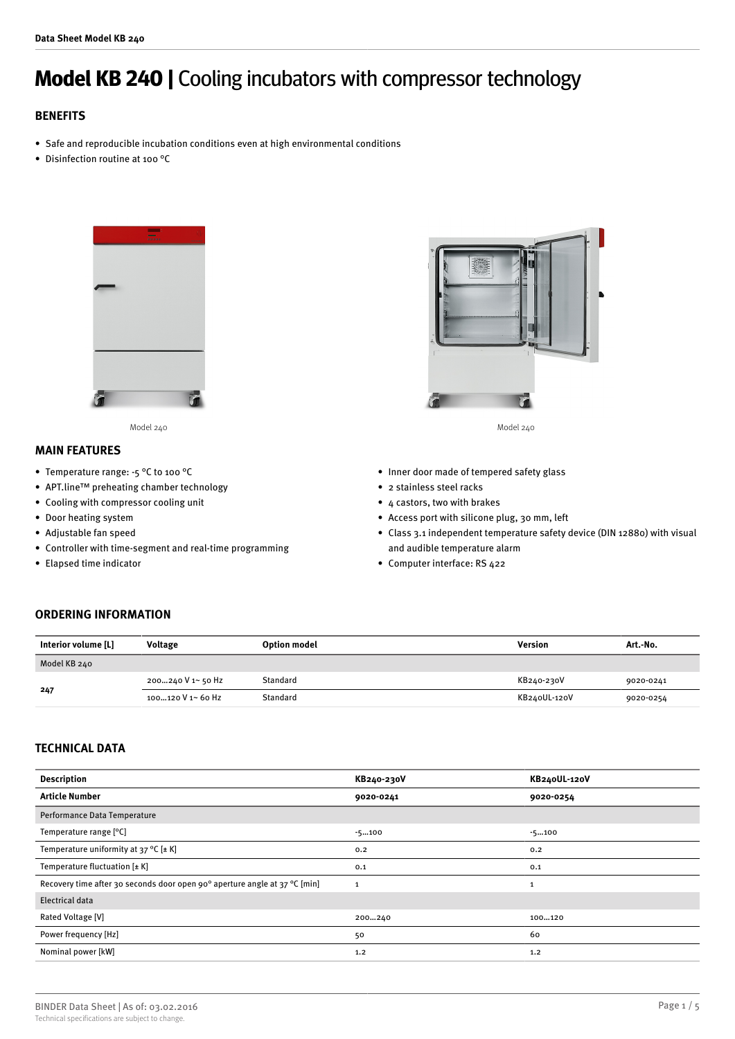# **Model KB 240 |** Cooling incubators with compressor technology

# **BENEFITS**

- Safe and reproducible incubation conditions even at high environmental conditions
- Disinfection routine at 100 °C



Model 240 Model 240

# **MAIN FEATURES**

- Temperature range: -5 °C to 100 °C
- APT.line™ preheating chamber technology
- Cooling with compressor cooling unit
- Door heating system
- Adjustable fan speed
- Controller with time-segment and real-time programming
- Elapsed time indicator



- Inner door made of tempered safety glass
- 2 stainless steel racks
- 4 castors, two with brakes
- Access port with silicone plug, 30 mm, left
- Class 3.1 independent temperature safety device (DIN 12880) with visual and audible temperature alarm
- Computer interface: RS 422

## **ORDERING INFORMATION**

| Interior volume [L] | Voltage            | <b>Option model</b> | Version      | Art.-No.  |
|---------------------|--------------------|---------------------|--------------|-----------|
| Model KB 240        |                    |                     |              |           |
| 247                 | 200…240 V 1~ 50 Hz | Standard            | KB240-230V   | 9020-0241 |
|                     | 100120 V 1~ 60 Hz  | Standard            | KB240UL-120V | 9020-0254 |

### **TECHNICAL DATA**

| <b>Description</b>                                                         | KB240-230V   | KB240UL-120V |
|----------------------------------------------------------------------------|--------------|--------------|
| <b>Article Number</b>                                                      | 9020-0241    | 9020-0254    |
| Performance Data Temperature                                               |              |              |
| Temperature range [°C]                                                     | $-5100$      | $-5100$      |
| Temperature uniformity at 37 °C $[\pm K]$                                  | 0.2          | 0.2          |
| Temperature fluctuation $[\pm K]$                                          | 0.1          | 0.1          |
| Recovery time after 30 seconds door open 90° aperture angle at 37 °C [min] | $\mathbf{1}$ | 1            |
| Electrical data                                                            |              |              |
| Rated Voltage [V]                                                          | 200240       | 100120       |
| Power frequency [Hz]                                                       | 50           | 60           |
| Nominal power [kW]                                                         | 1.2          | 1.2          |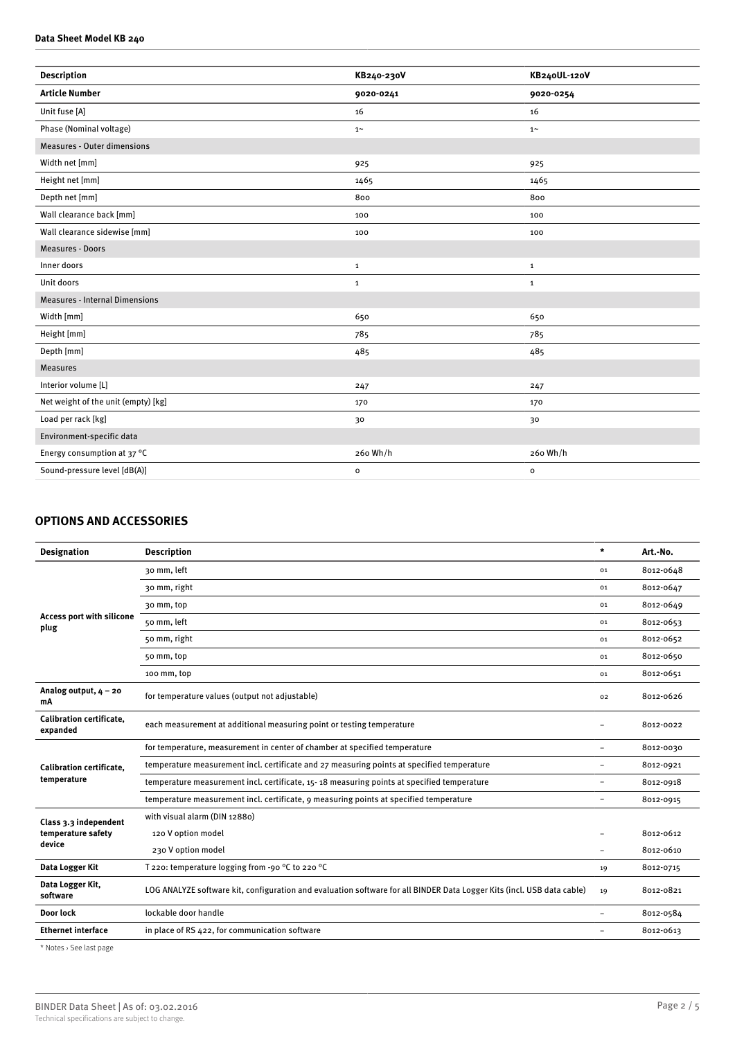#### **Data Sheet Model KB 240**

| <b>Description</b>                    | KB240-230V   | KB240UL-120V |
|---------------------------------------|--------------|--------------|
| <b>Article Number</b>                 | 9020-0241    | 9020-0254    |
| Unit fuse [A]                         | 16           | 16           |
| Phase (Nominal voltage)               | $1~\sim$     | $1\sim$      |
| <b>Measures - Outer dimensions</b>    |              |              |
| Width net [mm]                        | 925          | 925          |
| Height net [mm]                       | 1465         | 1465         |
| Depth net [mm]                        | 800          | 800          |
| Wall clearance back [mm]              | 100          | 100          |
| Wall clearance sidewise [mm]          | 100          | 100          |
| Measures - Doors                      |              |              |
| Inner doors                           | $\mathbf 1$  | $\mathbf{1}$ |
| Unit doors                            | $\mathbf 1$  | $\mathbf{1}$ |
| <b>Measures - Internal Dimensions</b> |              |              |
| Width [mm]                            | 650          | 650          |
| Height [mm]                           | 785          | 785          |
| Depth [mm]                            | 485          | 485          |
| <b>Measures</b>                       |              |              |
| Interior volume [L]                   | 247          | 247          |
| Net weight of the unit (empty) [kg]   | 170          | 170          |
| Load per rack [kg]                    | 30           | 30           |
| Environment-specific data             |              |              |
| Energy consumption at 37 °C           | 260 Wh/h     | 260 Wh/h     |
| Sound-pressure level [dB(A)]          | $\mathbf{o}$ | $\mathbf{o}$ |
|                                       |              |              |

# **OPTIONS AND ACCESSORIES**

| <b>Designation</b>                                                                                                                                                                                                                                                                                                                                                                                                 | <b>Description</b>                                                                                                     | $\star$                  | Art.-No.  |
|--------------------------------------------------------------------------------------------------------------------------------------------------------------------------------------------------------------------------------------------------------------------------------------------------------------------------------------------------------------------------------------------------------------------|------------------------------------------------------------------------------------------------------------------------|--------------------------|-----------|
|                                                                                                                                                                                                                                                                                                                                                                                                                    | 30 mm, left                                                                                                            | 01                       | 8012-0648 |
| <b>Access port with silicone</b><br>plug                                                                                                                                                                                                                                                                                                                                                                           | 30 mm, right                                                                                                           | 01                       | 8012-0647 |
|                                                                                                                                                                                                                                                                                                                                                                                                                    | 30 mm, top                                                                                                             | 01                       | 8012-0649 |
|                                                                                                                                                                                                                                                                                                                                                                                                                    | 50 mm, left                                                                                                            | 01                       | 8012-0653 |
|                                                                                                                                                                                                                                                                                                                                                                                                                    | 50 mm, right                                                                                                           | 01                       | 8012-0652 |
|                                                                                                                                                                                                                                                                                                                                                                                                                    | 50 mm, top                                                                                                             | 01                       | 8012-0650 |
|                                                                                                                                                                                                                                                                                                                                                                                                                    | 100 mm, top                                                                                                            | 01                       | 8012-0651 |
| Analog output, $4 - 20$<br>mA                                                                                                                                                                                                                                                                                                                                                                                      | for temperature values (output not adjustable)                                                                         | 02                       | 8012-0626 |
| <b>Calibration certificate.</b><br>expanded                                                                                                                                                                                                                                                                                                                                                                        | each measurement at additional measuring point or testing temperature                                                  |                          | 8012-0022 |
| for temperature, measurement in center of chamber at specified temperature<br>temperature measurement incl. certificate and 27 measuring points at specified temperature<br><b>Calibration certificate.</b><br>temperature<br>temperature measurement incl. certificate, 15-18 measuring points at specified temperature<br>temperature measurement incl. certificate, 9 measuring points at specified temperature |                                                                                                                        | $\overline{\phantom{0}}$ | 8012-0030 |
|                                                                                                                                                                                                                                                                                                                                                                                                                    |                                                                                                                        |                          | 8012-0921 |
|                                                                                                                                                                                                                                                                                                                                                                                                                    | $\rightarrow$                                                                                                          | 8012-0918                |           |
|                                                                                                                                                                                                                                                                                                                                                                                                                    |                                                                                                                        | $\rightarrow$            | 8012-0915 |
| Class 3.3 independent<br>temperature safety<br>device                                                                                                                                                                                                                                                                                                                                                              | with visual alarm (DIN 12880)                                                                                          |                          |           |
|                                                                                                                                                                                                                                                                                                                                                                                                                    | 120 V option model                                                                                                     |                          | 8012-0612 |
|                                                                                                                                                                                                                                                                                                                                                                                                                    | 230 V option model                                                                                                     | $\rightarrow$            | 8012-0610 |
| Data Logger Kit                                                                                                                                                                                                                                                                                                                                                                                                    | T 220: temperature logging from -90 °C to 220 °C                                                                       | 19                       | 8012-0715 |
| Data Logger Kit,<br>software                                                                                                                                                                                                                                                                                                                                                                                       | LOG ANALYZE software kit, configuration and evaluation software for all BINDER Data Logger Kits (incl. USB data cable) | 19                       | 8012-0821 |
| Door lock                                                                                                                                                                                                                                                                                                                                                                                                          | lockable door handle                                                                                                   | $\overline{\phantom{0}}$ | 8012-0584 |
| <b>Ethernet interface</b>                                                                                                                                                                                                                                                                                                                                                                                          | in place of RS 422, for communication software                                                                         | $\overline{\phantom{0}}$ | 8012-0613 |
|                                                                                                                                                                                                                                                                                                                                                                                                                    |                                                                                                                        |                          |           |

\* Notes › See last page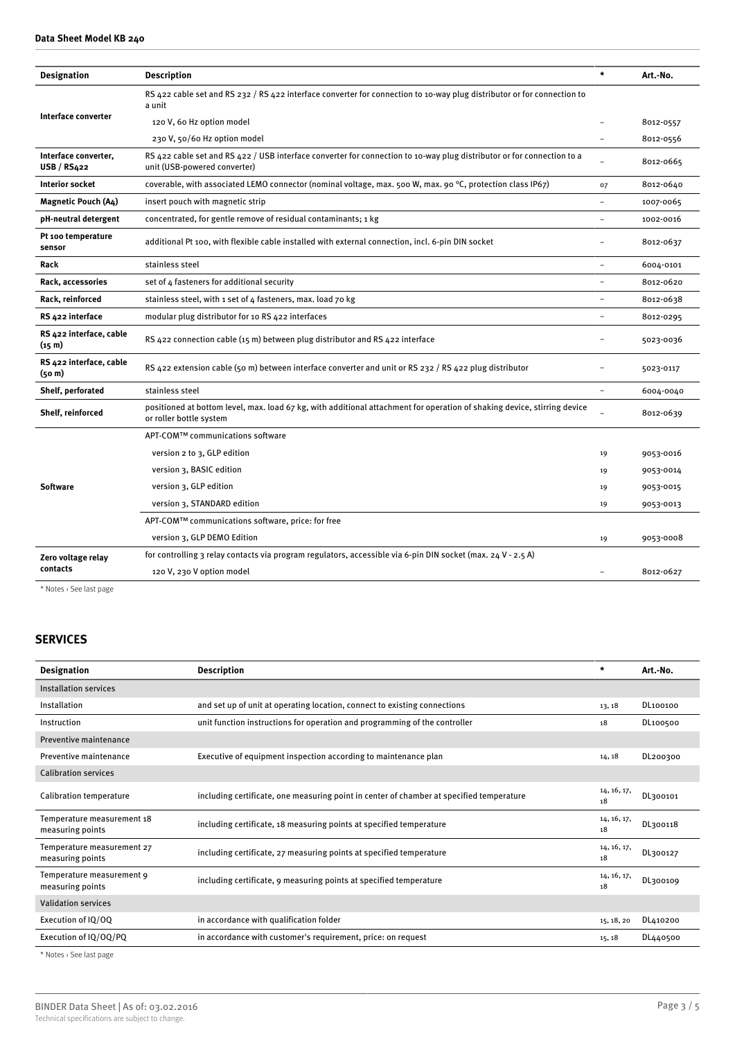| <b>Designation</b>                            | <b>Description</b>                                                                                                                                     | $\star$  | Art.-No.  |
|-----------------------------------------------|--------------------------------------------------------------------------------------------------------------------------------------------------------|----------|-----------|
| Interface converter                           | RS 422 cable set and RS 232 / RS 422 interface converter for connection to 10-way plug distributor or for connection to<br>a unit                      |          |           |
|                                               | 120 V, 60 Hz option model                                                                                                                              |          | 8012-0557 |
|                                               | 230 V, 50/60 Hz option model                                                                                                                           |          | 8012-0556 |
| Interface converter,<br>USB/RS422             | RS 422 cable set and RS 422 / USB interface converter for connection to 10-way plug distributor or for connection to a<br>unit (USB-powered converter) |          | 8012-0665 |
| <b>Interior socket</b>                        | coverable, with associated LEMO connector (nominal voltage, max. 500 W, max. 90 °C, protection class IP67)                                             | 07       | 8012-0640 |
| <b>Magnetic Pouch (A4)</b>                    | insert pouch with magnetic strip                                                                                                                       |          | 1007-0065 |
| pH-neutral detergent                          | concentrated, for gentle remove of residual contaminants; 1 kg                                                                                         |          | 1002-0016 |
| Pt 100 temperature<br>sensor                  | additional Pt 100, with flexible cable installed with external connection, incl. 6-pin DIN socket                                                      |          | 8012-0637 |
| Rack                                          | stainless steel                                                                                                                                        |          | 6004-0101 |
| Rack, accessories                             | set of 4 fasteners for additional security                                                                                                             |          | 8012-0620 |
| Rack, reinforced                              | stainless steel, with 1 set of 4 fasteners, max. load 70 kg                                                                                            |          | 8012-0638 |
| RS 422 interface                              | modular plug distributor for 10 RS 422 interfaces                                                                                                      |          | 8012-0295 |
| RS 422 interface, cable<br>(15 <sub>m</sub> ) | RS 422 connection cable (15 m) between plug distributor and RS 422 interface                                                                           |          | 5023-0036 |
| RS 422 interface, cable<br>(50 <sub>m</sub> ) | RS 422 extension cable (50 m) between interface converter and unit or RS 232 / RS 422 plug distributor                                                 |          | 5023-0117 |
| Shelf, perforated                             | stainless steel                                                                                                                                        | $\equiv$ | 6004-0040 |
| Shelf, reinforced                             | positioned at bottom level, max. load 67 kg, with additional attachment for operation of shaking device, stirring device<br>or roller bottle system    |          | 8012-0639 |
|                                               | APT-COM™ communications software                                                                                                                       |          |           |
|                                               | version 2 to 3, GLP edition                                                                                                                            | 19       | 9053-0016 |
| <b>Software</b>                               | version 3, BASIC edition                                                                                                                               | 19       | 9053-0014 |
|                                               | version 3, GLP edition                                                                                                                                 | 19       | 9053-0015 |
|                                               | version 3, STANDARD edition                                                                                                                            | 19       | 9053-0013 |
|                                               | APT-COM™ communications software, price: for free                                                                                                      |          |           |
|                                               | version 3, GLP DEMO Edition                                                                                                                            | 19       | 9053-0008 |
| Zero voltage relay                            | for controlling 3 relay contacts via program regulators, accessible via 6-pin DIN socket (max. 24 V - 2.5 A)                                           |          |           |
| contacts                                      | 120 V, 230 V option model                                                                                                                              |          | 8012-0627 |
|                                               |                                                                                                                                                        |          |           |

\* Notes › See last page

# **SERVICES**

| <b>Designation</b>                             | <b>Description</b>                                                                       | $\star$           | Art.-No. |
|------------------------------------------------|------------------------------------------------------------------------------------------|-------------------|----------|
| Installation services                          |                                                                                          |                   |          |
| Installation                                   | and set up of unit at operating location, connect to existing connections                | 13, 18            | DL100100 |
| Instruction                                    | unit function instructions for operation and programming of the controller               | 18                | DL100500 |
| Preventive maintenance                         |                                                                                          |                   |          |
| Preventive maintenance                         | Executive of equipment inspection according to maintenance plan                          | 14, 18            | DL200300 |
| <b>Calibration services</b>                    |                                                                                          |                   |          |
| <b>Calibration temperature</b>                 | including certificate, one measuring point in center of chamber at specified temperature | 14, 16, 17,<br>18 | DL300101 |
| Temperature measurement 18<br>measuring points | including certificate, 18 measuring points at specified temperature                      | 14, 16, 17,<br>18 | DL300118 |
| Temperature measurement 27<br>measuring points | including certificate, 27 measuring points at specified temperature                      | 14, 16, 17,<br>18 | DL300127 |
| Temperature measurement 9<br>measuring points  | including certificate, 9 measuring points at specified temperature                       | 14, 16, 17,<br>18 | DL300109 |
| <b>Validation services</b>                     |                                                                                          |                   |          |
| Execution of IQ/OQ                             | in accordance with qualification folder                                                  | 15, 18, 20        | DL410200 |
| Execution of IQ/OQ/PQ                          | in accordance with customer's requirement, price: on request                             | 15, 18            | DL440500 |

\* Notes › See last page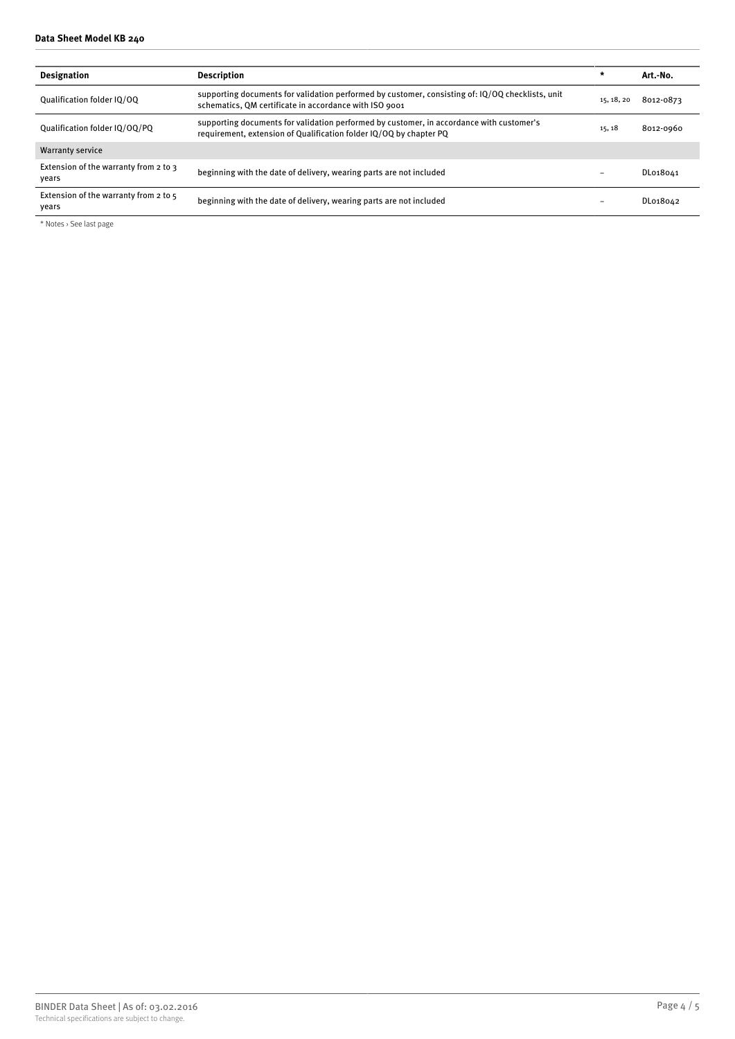#### **Data Sheet Model KB 240**

| <b>Designation</b>                             | <b>Description</b>                                                                                                                                             | $\star$    | Art.-No.  |
|------------------------------------------------|----------------------------------------------------------------------------------------------------------------------------------------------------------------|------------|-----------|
| Oualification folder IO/OO                     | supporting documents for validation performed by customer, consisting of: IQ/OQ checklists, unit<br>schematics, QM certificate in accordance with ISO 9001     | 15, 18, 20 | 8012-0873 |
| Qualification folder IQ/OQ/PQ                  | supporting documents for validation performed by customer, in accordance with customer's<br>requirement, extension of Qualification folder IQ/OQ by chapter PQ | 15, 18     | 8012-0960 |
| <b>Warranty service</b>                        |                                                                                                                                                                |            |           |
| Extension of the warranty from 2 to 3<br>vears | beginning with the date of delivery, wearing parts are not included                                                                                            |            | DL018041  |
| Extension of the warranty from 2 to 5<br>vears | beginning with the date of delivery, wearing parts are not included                                                                                            |            | DL018042  |

\* Notes › See last page